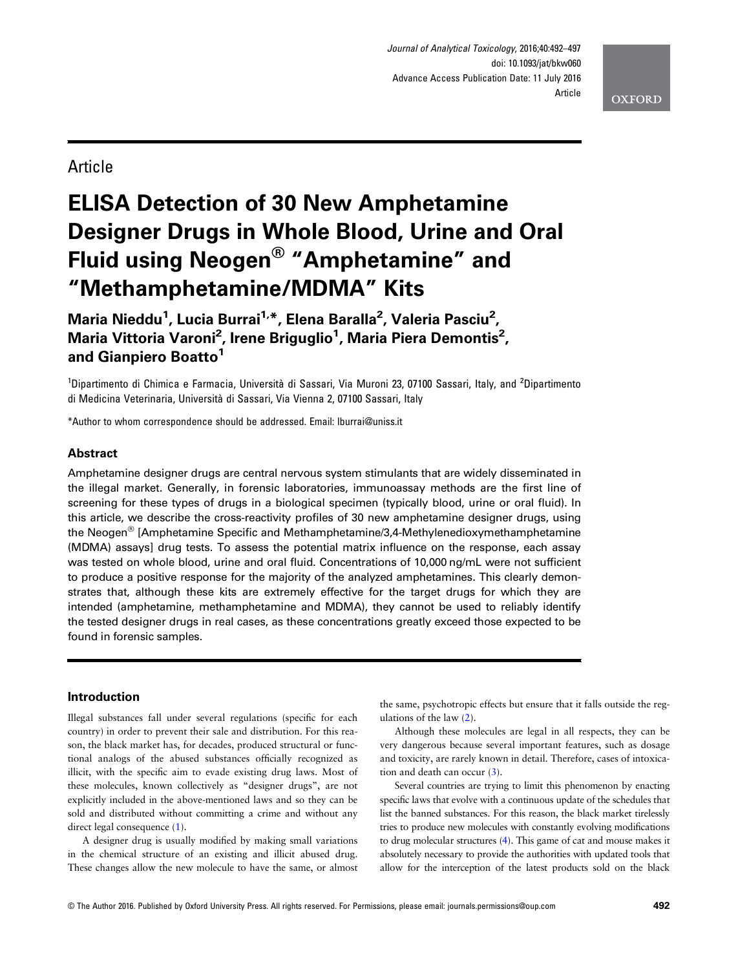Journal of Analytical Toxicology, 2016;40:492–<sup>497</sup> doi: 10.1093/jat/bkw060 Advance Access Publication Date: 11 July 2016 Article



# Article

# ELISA Detection of 30 New Amphetamine Designer Drugs in Whole Blood, Urine and Oral Fluid using Neogen® "Amphetamine" and "Methamphetamine/MDMA" Kits

Maria Nieddu<sup>1</sup>, Lucia Burrai<sup>1,\*</sup>, Elena Baralla<sup>2</sup>, Valeria Pasciu<sup>2</sup>, Maria Vittoria Varoni<sup>2</sup>, Irene Briguglio<sup>1</sup>, Maria Piera Demontis<sup>2</sup>, and Gianpiero Boatto<sup>1</sup>

<sup>1</sup>Dipartimento di Chimica e Farmacia, Università di Sassari, Via Muroni 23, 07100 Sassari, Italy, and <sup>2</sup>Dipartimento di Medicina Veterinaria, Università di Sassari, Via Vienna 2, 07100 Sassari, Italy

\*Author to whom correspondence should be addressed. Email: lburrai@uniss.it

# Abstract

Amphetamine designer drugs are central nervous system stimulants that are widely disseminated in the illegal market. Generally, in forensic laboratories, immunoassay methods are the first line of screening for these types of drugs in a biological specimen (typically blood, urine or oral fluid). In this article, we describe the cross-reactivity profiles of 30 new amphetamine designer drugs, using the Neogen® [Amphetamine Specific and Methamphetamine/3,4-Methylenedioxymethamphetamine (MDMA) assays] drug tests. To assess the potential matrix influence on the response, each assay was tested on whole blood, urine and oral fluid. Concentrations of 10,000 ng/mL were not sufficient to produce a positive response for the majority of the analyzed amphetamines. This clearly demonstrates that, although these kits are extremely effective for the target drugs for which they are intended (amphetamine, methamphetamine and MDMA), they cannot be used to reliably identify the tested designer drugs in real cases, as these concentrations greatly exceed those expected to be found in forensic samples.

# Introduction

Illegal substances fall under several regulations (specific for each country) in order to prevent their sale and distribution. For this reason, the black market has, for decades, produced structural or functional analogs of the abused substances officially recognized as illicit, with the specific aim to evade existing drug laws. Most of these molecules, known collectively as "designer drugs", are not explicitly included in the above-mentioned laws and so they can be sold and distributed without committing a crime and without any direct legal consequence  $(1)$ .

A designer drug is usually modified by making small variations in the chemical structure of an existing and illicit abused drug. These changes allow the new molecule to have the same, or almost

the same, psychotropic effects but ensure that it falls outside the regulations of the law [\(2\)](#page-4-0).

Although these molecules are legal in all respects, they can be very dangerous because several important features, such as dosage and toxicity, are rarely known in detail. Therefore, cases of intoxication and death can occur [\(3\)](#page-4-0).

Several countries are trying to limit this phenomenon by enacting specific laws that evolve with a continuous update of the schedules that list the banned substances. For this reason, the black market tirelessly tries to produce new molecules with constantly evolving modifications to drug molecular structures [\(4\)](#page-4-0). This game of cat and mouse makes it absolutely necessary to provide the authorities with updated tools that allow for the interception of the latest products sold on the black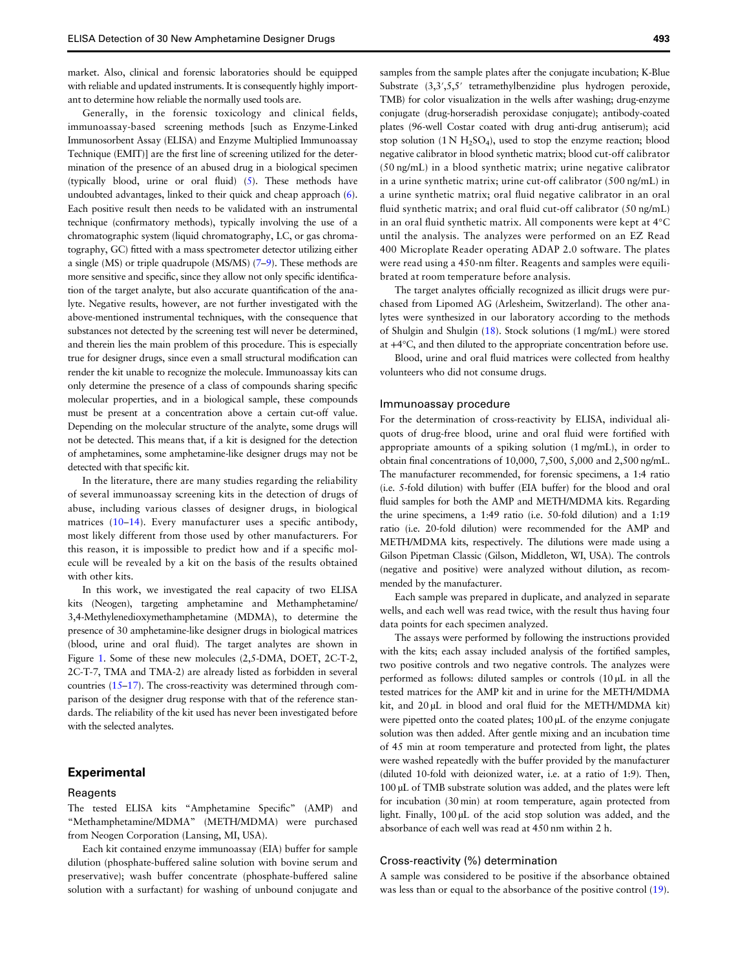market. Also, clinical and forensic laboratories should be equipped with reliable and updated instruments. It is consequently highly important to determine how reliable the normally used tools are.

Generally, in the forensic toxicology and clinical fields, immunoassay-based screening methods [such as Enzyme-Linked Immunosorbent Assay (ELISA) and Enzyme Multiplied Immunoassay Technique (EMIT)] are the first line of screening utilized for the determination of the presence of an abused drug in a biological specimen (typically blood, urine or oral fluid) [\(5](#page-4-0)). These methods have undoubted advantages, linked to their quick and cheap approach ([6\)](#page-5-0). Each positive result then needs to be validated with an instrumental technique (confirmatory methods), typically involving the use of a chromatographic system (liquid chromatography, LC, or gas chromatography, GC) fitted with a mass spectrometer detector utilizing either a single (MS) or triple quadrupole (MS/MS) ([7](#page-5-0)–[9](#page-5-0)). These methods are more sensitive and specific, since they allow not only specific identification of the target analyte, but also accurate quantification of the analyte. Negative results, however, are not further investigated with the above-mentioned instrumental techniques, with the consequence that substances not detected by the screening test will never be determined, and therein lies the main problem of this procedure. This is especially true for designer drugs, since even a small structural modification can render the kit unable to recognize the molecule. Immunoassay kits can only determine the presence of a class of compounds sharing specific molecular properties, and in a biological sample, these compounds must be present at a concentration above a certain cut-off value. Depending on the molecular structure of the analyte, some drugs will not be detected. This means that, if a kit is designed for the detection of amphetamines, some amphetamine-like designer drugs may not be detected with that specific kit.

In the literature, there are many studies regarding the reliability of several immunoassay screening kits in the detection of drugs of abuse, including various classes of designer drugs, in biological matrices ([10](#page-5-0)-[14\)](#page-5-0). Every manufacturer uses a specific antibody, most likely different from those used by other manufacturers. For this reason, it is impossible to predict how and if a specific molecule will be revealed by a kit on the basis of the results obtained with other kits.

In this work, we investigated the real capacity of two ELISA kits (Neogen), targeting amphetamine and Methamphetamine/ 3,4-Methylenedioxymethamphetamine (MDMA), to determine the presence of 30 amphetamine-like designer drugs in biological matrices (blood, urine and oral fluid). The target analytes are shown in Figure [1](#page-2-0). Some of these new molecules (2,5-DMA, DOET, 2C-T-2, 2C-T-7, TMA and TMA-2) are already listed as forbidden in several countries [\(15](#page-5-0)–[17](#page-5-0)). The cross-reactivity was determined through comparison of the designer drug response with that of the reference standards. The reliability of the kit used has never been investigated before with the selected analytes.

## Experimental

## Reagents

The tested ELISA kits "Amphetamine Specific" (AMP) and "Methamphetamine/MDMA" (METH/MDMA) were purchased from Neogen Corporation (Lansing, MI, USA).

Each kit contained enzyme immunoassay (EIA) buffer for sample dilution (phosphate-buffered saline solution with bovine serum and preservative); wash buffer concentrate (phosphate-buffered saline solution with a surfactant) for washing of unbound conjugate and

samples from the sample plates after the conjugate incubation; K-Blue Substrate (3,3',5,5' tetramethylbenzidine plus hydrogen peroxide, TMB) for color visualization in the wells after washing; drug-enzyme conjugate (drug-horseradish peroxidase conjugate); antibody-coated plates (96-well Costar coated with drug anti-drug antiserum); acid stop solution  $(1 N H<sub>2</sub>SO<sub>4</sub>)$ , used to stop the enzyme reaction; blood negative calibrator in blood synthetic matrix; blood cut-off calibrator (50 ng/mL) in a blood synthetic matrix; urine negative calibrator in a urine synthetic matrix; urine cut-off calibrator (500 ng/mL) in a urine synthetic matrix; oral fluid negative calibrator in an oral fluid synthetic matrix; and oral fluid cut-off calibrator (50 ng/mL) in an oral fluid synthetic matrix. All components were kept at 4°C until the analysis. The analyzes were performed on an EZ Read 400 Microplate Reader operating ADAP 2.0 software. The plates were read using a 450-nm filter. Reagents and samples were equilibrated at room temperature before analysis.

The target analytes officially recognized as illicit drugs were purchased from Lipomed AG (Arlesheim, Switzerland). The other analytes were synthesized in our laboratory according to the methods of Shulgin and Shulgin [\(18\)](#page-5-0). Stock solutions (1 mg/mL) were stored at +4°C, and then diluted to the appropriate concentration before use.

Blood, urine and oral fluid matrices were collected from healthy volunteers who did not consume drugs.

#### Immunoassay procedure

For the determination of cross-reactivity by ELISA, individual aliquots of drug-free blood, urine and oral fluid were fortified with appropriate amounts of a spiking solution (1 mg/mL), in order to obtain final concentrations of 10,000, 7,500, 5,000 and 2,500 ng/mL. The manufacturer recommended, for forensic specimens, a 1:4 ratio (i.e. 5-fold dilution) with buffer (EIA buffer) for the blood and oral fluid samples for both the AMP and METH/MDMA kits. Regarding the urine specimens, a 1:49 ratio (i.e. 50-fold dilution) and a 1:19 ratio (i.e. 20-fold dilution) were recommended for the AMP and METH/MDMA kits, respectively. The dilutions were made using a Gilson Pipetman Classic (Gilson, Middleton, WI, USA). The controls (negative and positive) were analyzed without dilution, as recommended by the manufacturer.

Each sample was prepared in duplicate, and analyzed in separate wells, and each well was read twice, with the result thus having four data points for each specimen analyzed.

The assays were performed by following the instructions provided with the kits; each assay included analysis of the fortified samples, two positive controls and two negative controls. The analyzes were performed as follows: diluted samples or controls (10 µL in all the tested matrices for the AMP kit and in urine for the METH/MDMA kit, and  $20 \mu L$  in blood and oral fluid for the METH/MDMA kit) were pipetted onto the coated plates; 100 µL of the enzyme conjugate solution was then added. After gentle mixing and an incubation time of 45 min at room temperature and protected from light, the plates were washed repeatedly with the buffer provided by the manufacturer (diluted 10-fold with deionized water, i.e. at a ratio of 1:9). Then, 100 µL of TMB substrate solution was added, and the plates were left for incubation (30 min) at room temperature, again protected from light. Finally, 100 µL of the acid stop solution was added, and the absorbance of each well was read at 450 nm within 2 h.

#### Cross-reactivity (%) determination

A sample was considered to be positive if the absorbance obtained was less than or equal to the absorbance of the positive control ([19\)](#page-5-0).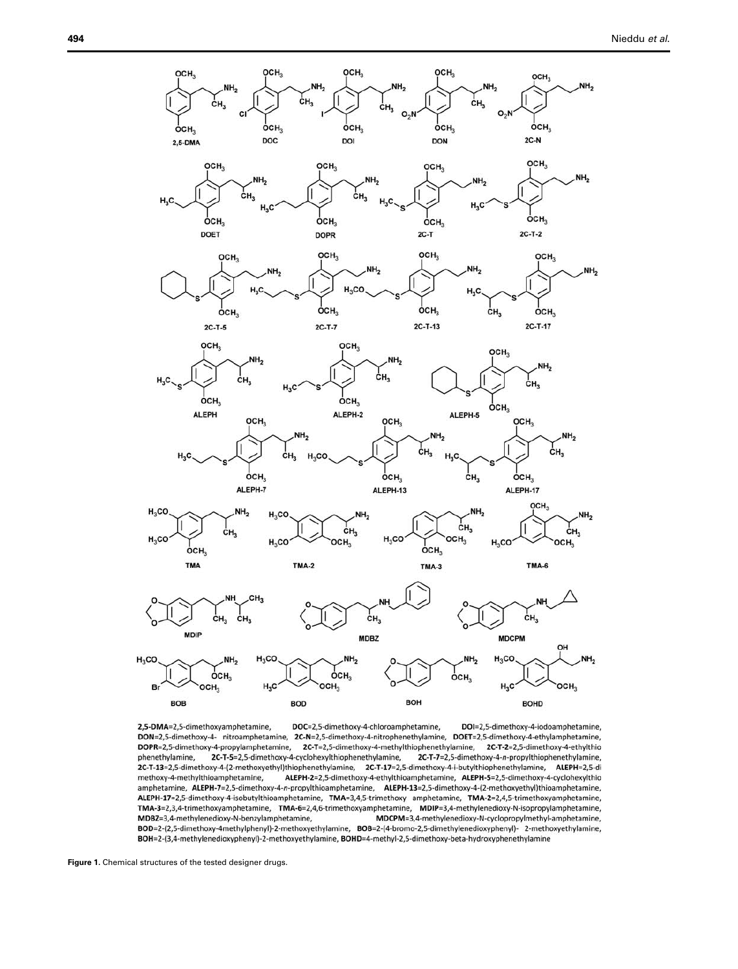<span id="page-2-0"></span>

DOI=2,5-dimethoxy-4-iodoamphetamine, 2,5-DMA=2,5-dimethoxyamphetamine, DOC=2,5-dimethoxy-4-chloroamphetamine, DON=2,5-dimethoxy-4- nitroamphetamine, 2C-N=2,5-dimethoxy-4-nitrophenethylamine, DOET=2,5-dimethoxy-4-ethylamphetamine, DOPR=2,5-dimethoxy-4-propylamphetamine, 2C-T=2,5-dimethoxy-4-methylthiophenethylamine, 2C-T-2=2,5-dimethoxy-4-ethylthio phenethylamine, 2C-T-5=2,5-dimethoxy-4-cyclohexylthiophenethylamine, 2C-T-7=2,5-dimethoxy-4-n-propylthiophenethylamine, 2C-T-13=2,5-dimethoxy-4-(2-methoxyethyl)thiophenethylamine, 2C-T-17=2,5-dimethoxy-4-i-butylthiophenethylamine, ALEPH=2,5-di methoxy-4-methylthioamphetamine, ALEPH-2=2,5-dimethoxy-4-ethylthioamphetamine, ALEPH-5=2,5-dimethoxy-4-cyclohexylthio amphetamine, ALEPH-7=2,5-dimethoxy-4-n-propylthioamphetamine, ALEPH-13=2,5-dimethoxy-4-(2-methoxyethyl)thioamphetamine, ALEPH-17=2,5-dimethoxy-4-isobutylthioamphetamine, TMA=3,4,5-trimethoxy amphetamine, TMA-2=2,4,5-trimethoxyamphetamine, TMA-3=2,3,4-trimethoxyamphetamine, TMA-6=2,4,6-trimethoxyamphetamine, MDIP=3,4-methylenedioxy-N-isopropylamphetamine, MDCPM=3,4-methylenedioxy-N-cyclopropylmethyl-amphetamine, MDBZ=3,4-methylenedioxy-N-benzylamphetamine, BOD=2-(2,5-dimethoxy-4methylphenyl)-2-methoxyethylamine, BOB=2-(4-bromo-2,5-dimethylenedioxyphenyl)- 2-methoxyethylamine, BOH=2-(3,4-methylenedioxyphenyl)-2-methoxyethylamine, BOHD=4-methyl-2,5-dimethoxy-beta-hydroxyphenethylamine

Figure 1. Chemical structures of the tested designer drugs.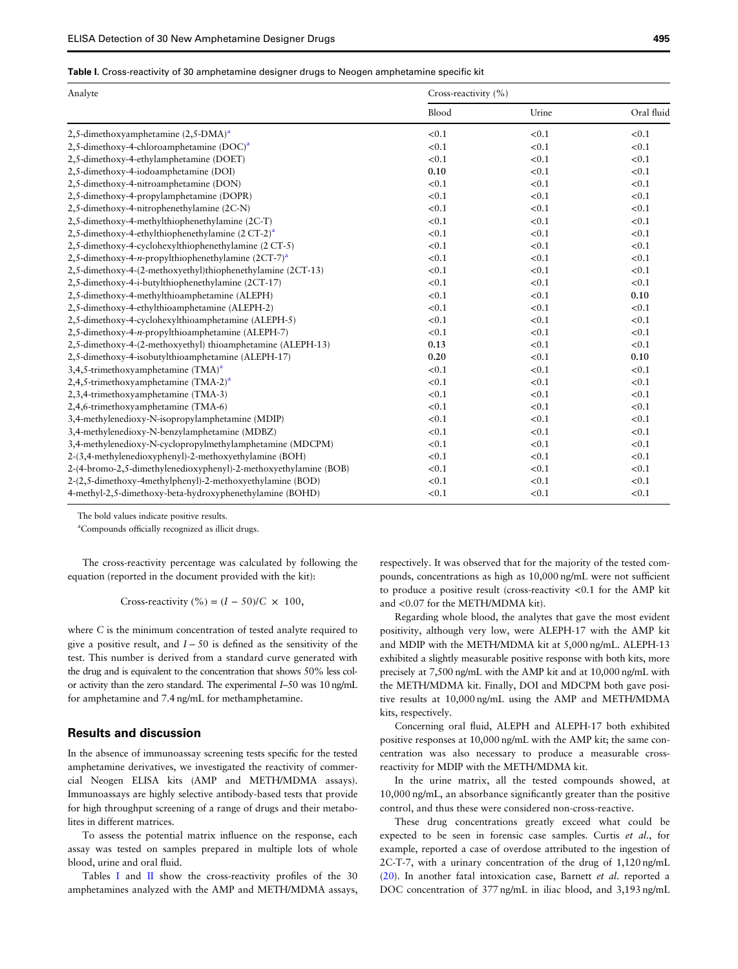#### Table I. Cross-reactivity of 30 amphetamine designer drugs to Neogen amphetamine specific kit

| Analyte                                                          | Cross-reactivity (%) |       |            |
|------------------------------------------------------------------|----------------------|-------|------------|
|                                                                  | Blood                | Urine | Oral fluid |
| 2,5-dimethoxyamphetamine $(2,5-DMA)^{a}$                         | < 0.1                | < 0.1 | < 0.1      |
| 2,5-dimethoxy-4-chloroamphetamine (DOC) <sup>a</sup>             | < 0.1                | < 0.1 | < 0.1      |
| 2,5-dimethoxy-4-ethylamphetamine (DOET)                          | < 0.1                | < 0.1 | < 0.1      |
| 2,5-dimethoxy-4-iodoamphetamine (DOI)                            | 0.10                 | < 0.1 | < 0.1      |
| 2,5-dimethoxy-4-nitroamphetamine (DON)                           | < 0.1                | < 0.1 | < 0.1      |
| 2,5-dimethoxy-4-propylamphetamine (DOPR)                         | < 0.1                | < 0.1 | < 0.1      |
| 2,5-dimethoxy-4-nitrophenethylamine (2C-N)                       | < 0.1                | < 0.1 | < 0.1      |
| 2,5-dimethoxy-4-methylthiophenethylamine (2C-T)                  | < 0.1                | < 0.1 | < 0.1      |
| 2,5-dimethoxy-4-ethylthiophenethylamine $(2 CT-2)^{a}$           | < 0.1                | < 0.1 | < 0.1      |
| 2,5-dimethoxy-4-cyclohexylthiophenethylamine (2 CT-5)            | < 0.1                | < 0.1 | < 0.1      |
| 2,5-dimethoxy-4-n-propylthiophenethylamine $(2CT-7)^{a}$         | < 0.1                | < 0.1 | < 0.1      |
| 2,5-dimethoxy-4-(2-methoxyethyl)thiophenethylamine (2CT-13)      | < 0.1                | < 0.1 | < 0.1      |
| 2,5-dimethoxy-4-i-butylthiophenethylamine (2CT-17)               | < 0.1                | < 0.1 | < 0.1      |
| 2,5-dimethoxy-4-methylthioamphetamine (ALEPH)                    | < 0.1                | < 0.1 | 0.10       |
| 2,5-dimethoxy-4-ethylthioamphetamine (ALEPH-2)                   | < 0.1                | < 0.1 | < 0.1      |
| 2,5-dimethoxy-4-cyclohexylthioamphetamine (ALEPH-5)              | < 0.1                | < 0.1 | < 0.1      |
| 2,5-dimethoxy-4-n-propylthioamphetamine (ALEPH-7)                | < 0.1                | < 0.1 | < 0.1      |
| 2,5-dimethoxy-4-(2-methoxyethyl) thioamphetamine (ALEPH-13)      | 0.13                 | < 0.1 | < 0.1      |
| 2,5-dimethoxy-4-isobutylthioamphetamine (ALEPH-17)               | 0.20                 | < 0.1 | 0.10       |
| 3,4,5-trimethoxyamphetamine (TMA) <sup>a</sup>                   | < 0.1                | < 0.1 | < 0.1      |
| 2,4,5-trimethoxyamphetamine $(TMA-2)^{a}$                        | < 0.1                | < 0.1 | < 0.1      |
| 2,3,4-trimethoxyamphetamine (TMA-3)                              | < 0.1                | < 0.1 | < 0.1      |
| 2,4,6-trimethoxyamphetamine (TMA-6)                              | < 0.1                | < 0.1 | < 0.1      |
| 3,4-methylenedioxy-N-isopropylamphetamine (MDIP)                 | < 0.1                | < 0.1 | < 0.1      |
| 3,4-methylenedioxy-N-benzylamphetamine (MDBZ)                    | < 0.1                | < 0.1 | < 0.1      |
| 3,4-methylenedioxy-N-cyclopropylmethylamphetamine (MDCPM)        | < 0.1                | < 0.1 | < 0.1      |
| 2-(3,4-methylenedioxyphenyl)-2-methoxyethylamine (BOH)           | < 0.1                | < 0.1 | < 0.1      |
| 2-(4-bromo-2,5-dimethylenedioxyphenyl)-2-methoxyethylamine (BOB) | < 0.1                | < 0.1 | < 0.1      |
| 2-(2,5-dimethoxy-4methylphenyl)-2-methoxyethylamine (BOD)        | < 0.1                | < 0.1 | < 0.1      |
| 4-methyl-2,5-dimethoxy-beta-hydroxyphenethylamine (BOHD)         | < 0.1                | < 0.1 | < 0.1      |

The bold values indicate positive results.

a Compounds officially recognized as illicit drugs.

The cross-reactivity percentage was calculated by following the equation (reported in the document provided with the kit):

Cross-reactivity  $\left(\% \right) = (I - 50)/C \times 100$ ,

where C is the minimum concentration of tested analyte required to give a positive result, and  $I - 50$  is defined as the sensitivity of the test. This number is derived from a standard curve generated with the drug and is equivalent to the concentration that shows 50% less color activity than the zero standard. The experimental I–50 was 10 ng/mL for amphetamine and 7.4 ng/mL for methamphetamine.

# Results and discussion

In the absence of immunoassay screening tests specific for the tested amphetamine derivatives, we investigated the reactivity of commercial Neogen ELISA kits (AMP and METH/MDMA assays). Immunoassays are highly selective antibody-based tests that provide for high throughput screening of a range of drugs and their metabolites in different matrices.

To assess the potential matrix influence on the response, each assay was tested on samples prepared in multiple lots of whole blood, urine and oral fluid.

Tables I and [II](#page-4-0) show the cross-reactivity profiles of the 30 amphetamines analyzed with the AMP and METH/MDMA assays, respectively. It was observed that for the majority of the tested compounds, concentrations as high as 10,000 ng/mL were not sufficient to produce a positive result (cross-reactivity <0.1 for the AMP kit and <0.07 for the METH/MDMA kit).

Regarding whole blood, the analytes that gave the most evident positivity, although very low, were ALEPH-17 with the AMP kit and MDIP with the METH/MDMA kit at 5,000 ng/mL. ALEPH-13 exhibited a slightly measurable positive response with both kits, more precisely at 7,500 ng/mL with the AMP kit and at 10,000 ng/mL with the METH/MDMA kit. Finally, DOI and MDCPM both gave positive results at 10,000 ng/mL using the AMP and METH/MDMA kits, respectively.

Concerning oral fluid, ALEPH and ALEPH-17 both exhibited positive responses at 10,000 ng/mL with the AMP kit; the same concentration was also necessary to produce a measurable crossreactivity for MDIP with the METH/MDMA kit.

In the urine matrix, all the tested compounds showed, at 10,000 ng/mL, an absorbance significantly greater than the positive control, and thus these were considered non-cross-reactive.

These drug concentrations greatly exceed what could be expected to be seen in forensic case samples. Curtis et al., for example, reported a case of overdose attributed to the ingestion of 2C-T-7, with a urinary concentration of the drug of 1,120 ng/mL [\(20\)](#page-5-0). In another fatal intoxication case, Barnett et al. reported a DOC concentration of 377 ng/mL in iliac blood, and 3,193 ng/mL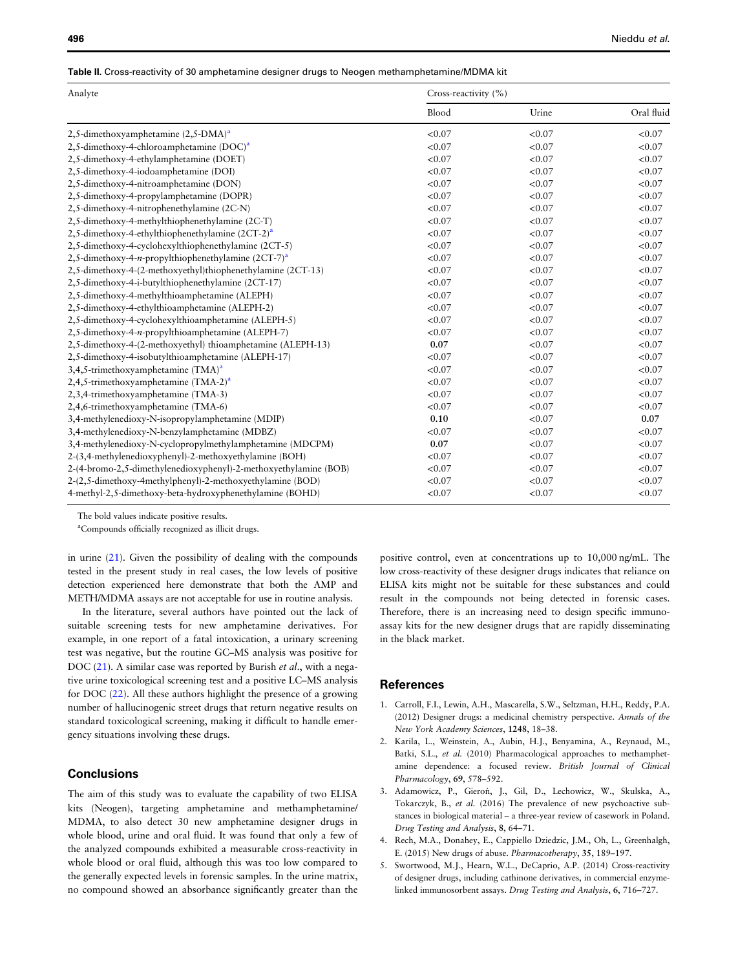#### <span id="page-4-0"></span>Table II. Cross-reactivity of 30 amphetamine designer drugs to Neogen methamphetamine/MDMA kit

| Analyte                                                          | Cross-reactivity (%) |        |            |
|------------------------------------------------------------------|----------------------|--------|------------|
|                                                                  | Blood                | Urine  | Oral fluid |
| 2,5-dimethoxyamphetamine $(2,5-DMA)^{a}$                         | < 0.07               | < 0.07 | < 0.07     |
| 2,5-dimethoxy-4-chloroamphetamine $(DOC)^a$                      | < 0.07               | < 0.07 | < 0.07     |
| 2,5-dimethoxy-4-ethylamphetamine (DOET)                          | < 0.07               | < 0.07 | < 0.07     |
| 2,5-dimethoxy-4-iodoamphetamine (DOI)                            | < 0.07               | < 0.07 | < 0.07     |
| 2,5-dimethoxy-4-nitroamphetamine (DON)                           | < 0.07               | < 0.07 | < 0.07     |
| 2,5-dimethoxy-4-propylamphetamine (DOPR)                         | < 0.07               | < 0.07 | < 0.07     |
| 2,5-dimethoxy-4-nitrophenethylamine (2C-N)                       | < 0.07               | < 0.07 | < 0.07     |
| 2,5-dimethoxy-4-methylthiophenethylamine (2C-T)                  | < 0.07               | < 0.07 | < 0.07     |
| 2,5-dimethoxy-4-ethylthiophenethylamine $(2CT-2)^{a}$            | < 0.07               | < 0.07 | < 0.07     |
| 2,5-dimethoxy-4-cyclohexylthiophenethylamine (2CT-5)             | < 0.07               | < 0.07 | < 0.07     |
| 2,5-dimethoxy-4-n-propylthiophenethylamine $(2CT-7)^{a}$         | < 0.07               | < 0.07 | < 0.07     |
| 2,5-dimethoxy-4-(2-methoxyethyl)thiophenethylamine (2CT-13)      | < 0.07               | < 0.07 | < 0.07     |
| 2,5-dimethoxy-4-i-butylthiophenethylamine (2CT-17)               | < 0.07               | < 0.07 | < 0.07     |
| 2,5-dimethoxy-4-methylthioamphetamine (ALEPH)                    | < 0.07               | < 0.07 | < 0.07     |
| 2,5-dimethoxy-4-ethylthioamphetamine (ALEPH-2)                   | < 0.07               | < 0.07 | < 0.07     |
| 2,5-dimethoxy-4-cyclohexylthioamphetamine (ALEPH-5)              | < 0.07               | < 0.07 | < 0.07     |
| 2,5-dimethoxy-4-n-propylthioamphetamine (ALEPH-7)                | < 0.07               | < 0.07 | < 0.07     |
| 2,5-dimethoxy-4-(2-methoxyethyl) thioamphetamine (ALEPH-13)      | 0.07                 | < 0.07 | < 0.07     |
| 2,5-dimethoxy-4-isobutylthioamphetamine (ALEPH-17)               | < 0.07               | < 0.07 | < 0.07     |
| 3,4,5-trimethoxyamphetamine $(TMA)^a$                            | < 0.07               | < 0.07 | < 0.07     |
| 2,4,5-trimethoxyamphetamine $(TMA-2)^{a}$                        | < 0.07               | < 0.07 | < 0.07     |
| 2,3,4-trimethoxyamphetamine (TMA-3)                              | < 0.07               | < 0.07 | < 0.07     |
| 2,4,6-trimethoxyamphetamine (TMA-6)                              | < 0.07               | < 0.07 | < 0.07     |
| 3,4-methylenedioxy-N-isopropylamphetamine (MDIP)                 | 0.10                 | < 0.07 | 0.07       |
| 3,4-methylenedioxy-N-benzylamphetamine (MDBZ)                    | < 0.07               | < 0.07 | < 0.07     |
| 3,4-methylenedioxy-N-cyclopropylmethylamphetamine (MDCPM)        | 0.07                 | < 0.07 | < 0.07     |
| 2-(3,4-methylenedioxyphenyl)-2-methoxyethylamine (BOH)           | < 0.07               | < 0.07 | < 0.07     |
| 2-(4-bromo-2,5-dimethylenedioxyphenyl)-2-methoxyethylamine (BOB) | < 0.07               | < 0.07 | < 0.07     |
| 2-(2,5-dimethoxy-4methylphenyl)-2-methoxyethylamine (BOD)        | < 0.07               | < 0.07 | < 0.07     |
| 4-methyl-2,5-dimethoxy-beta-hydroxyphenethylamine (BOHD)         | < 0.07               | < 0.07 | < 0.07     |

The bold values indicate positive results.

a Compounds officially recognized as illicit drugs.

in urine ([21](#page-5-0)). Given the possibility of dealing with the compounds tested in the present study in real cases, the low levels of positive detection experienced here demonstrate that both the AMP and METH/MDMA assays are not acceptable for use in routine analysis.

In the literature, several authors have pointed out the lack of suitable screening tests for new amphetamine derivatives. For example, in one report of a fatal intoxication, a urinary screening test was negative, but the routine GC–MS analysis was positive for DOC ([21\)](#page-5-0). A similar case was reported by Burish et al., with a negative urine toxicological screening test and a positive LC–MS analysis for DOC ([22\)](#page-5-0). All these authors highlight the presence of a growing number of hallucinogenic street drugs that return negative results on standard toxicological screening, making it difficult to handle emergency situations involving these drugs.

# **Conclusions**

The aim of this study was to evaluate the capability of two ELISA kits (Neogen), targeting amphetamine and methamphetamine/ MDMA, to also detect 30 new amphetamine designer drugs in whole blood, urine and oral fluid. It was found that only a few of the analyzed compounds exhibited a measurable cross-reactivity in whole blood or oral fluid, although this was too low compared to the generally expected levels in forensic samples. In the urine matrix, no compound showed an absorbance significantly greater than the

positive control, even at concentrations up to 10,000 ng/mL. The low cross-reactivity of these designer drugs indicates that reliance on ELISA kits might not be suitable for these substances and could result in the compounds not being detected in forensic cases. Therefore, there is an increasing need to design specific immunoassay kits for the new designer drugs that are rapidly disseminating in the black market.

# References

- 1. Carroll, F.I., Lewin, A.H., Mascarella, S.W., Seltzman, H.H., Reddy, P.A. (2012) Designer drugs: a medicinal chemistry perspective. Annals of the New York Academy Sciences, 1248, 18–38.
- 2. Karila, L., Weinstein, A., Aubin, H.J., Benyamina, A., Reynaud, M., Batki, S.L., et al. (2010) Pharmacological approaches to methamphetamine dependence: a focused review. British Journal of Clinical Pharmacology, 69, 578–592.
- 3. Adamowicz, P., Gieroń, J., Gil, D., Lechowicz, W., Skulska, A., Tokarczyk, B., et al. (2016) The prevalence of new psychoactive substances in biological material – a three-year review of casework in Poland. Drug Testing and Analysis, 8, 64–71.
- 4. Rech, M.A., Donahey, E., Cappiello Dziedzic, J.M., Oh, L., Greenhalgh, E. (2015) New drugs of abuse. Pharmacotherapy, 35, 189–197.
- 5. Swortwood, M.J., Hearn, W.L., DeCaprio, A.P. (2014) Cross-reactivity of designer drugs, including cathinone derivatives, in commercial enzymelinked immunosorbent assays. Drug Testing and Analysis, 6, 716–727.